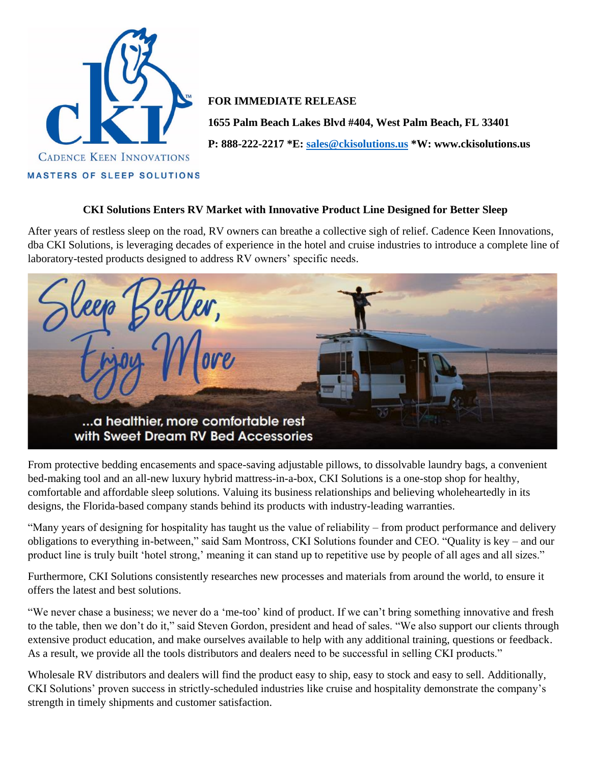

## **FOR IMMEDIATE RELEASE**

**1655 Palm Beach Lakes Blvd #404, West Palm Beach, FL 33401**

**P: 888-222-2217 \*E: [sales@ckisolutions.us](mailto:sales@ckisolutions.us) \*W: www.ckisolutions.us**

#### **CKI Solutions Enters RV Market with Innovative Product Line Designed for Better Sleep**

After years of restless sleep on the road, RV owners can breathe a collective sigh of relief. Cadence Keen Innovations, dba CKI Solutions, is leveraging decades of experience in the hotel and cruise industries to introduce a complete line of laboratory-tested products designed to address RV owners' specific needs.



From protective bedding encasements and space-saving adjustable pillows, to dissolvable laundry bags, a convenient bed-making tool and an all-new luxury hybrid mattress-in-a-box, CKI Solutions is a one-stop shop for healthy, comfortable and affordable sleep solutions. Valuing its business relationships and believing wholeheartedly in its designs, the Florida-based company stands behind its products with industry-leading warranties.

"Many years of designing for hospitality has taught us the value of reliability – from product performance and delivery obligations to everything in-between," said Sam Montross, CKI Solutions founder and CEO. "Quality is key – and our product line is truly built 'hotel strong,' meaning it can stand up to repetitive use by people of all ages and all sizes."

Furthermore, CKI Solutions consistently researches new processes and materials from around the world, to ensure it offers the latest and best solutions.

"We never chase a business; we never do a 'me-too' kind of product. If we can't bring something innovative and fresh to the table, then we don't do it," said Steven Gordon, president and head of sales. "We also support our clients through extensive product education, and make ourselves available to help with any additional training, questions or feedback. As a result, we provide all the tools distributors and dealers need to be successful in selling CKI products."

Wholesale RV distributors and dealers will find the product easy to ship, easy to stock and easy to sell. Additionally, CKI Solutions' proven success in strictly-scheduled industries like cruise and hospitality demonstrate the company's strength in timely shipments and customer satisfaction.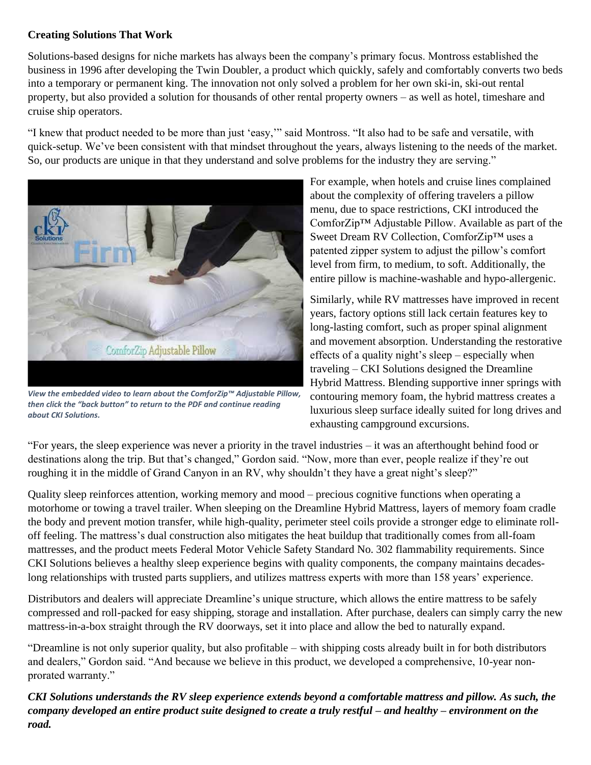# **Creating Solutions That Work**

Solutions-based designs for niche markets has always been the company's primary focus. Montross established the business in 1996 after developing the Twin Doubler, a product which quickly, safely and comfortably converts two beds into a temporary or permanent king. The innovation not only solved a problem for her own ski-in, ski-out rental property, but also provided a solution for thousands of other rental property owners – as well as hotel, timeshare and cruise ship operators.

"I knew that product needed to be more than just 'easy,'" said Montross. "It also had to be safe and versatile, with quick-setup. We've been consistent with that mindset throughout the years, always listening to the needs of the market. So, our products are unique in that they understand and solve problems for the industry they are serving."



*View the embedded video to learn about the ComforZip™ Adjustable Pillow, then click the "back button" to return to the PDF and continue reading about CKI Solutions.* 

For example, when hotels and cruise lines complained about the complexity of offering travelers a pillow menu, due to space restrictions, CKI introduced the ComforZip™ Adjustable Pillow. Available as part of the Sweet Dream RV Collection, ComforZip™ uses a patented zipper system to adjust the pillow's comfort level from firm, to medium, to soft. Additionally, the entire pillow is machine-washable and hypo-allergenic.

Similarly, while RV mattresses have improved in recent years, factory options still lack certain features key to long-lasting comfort, such as proper spinal alignment and movement absorption. Understanding the restorative effects of a quality night's sleep – especially when traveling – CKI Solutions designed the Dreamline Hybrid Mattress. Blending supportive inner springs with contouring memory foam, the hybrid mattress creates a luxurious sleep surface ideally suited for long drives and exhausting campground excursions.

"For years, the sleep experience was never a priority in the travel industries – it was an afterthought behind food or destinations along the trip. But that's changed," Gordon said. "Now, more than ever, people realize if they're out roughing it in the middle of Grand Canyon in an RV, why shouldn't they have a great night's sleep?"

Quality sleep reinforces attention, working memory and mood – precious cognitive functions when operating a motorhome or towing a travel trailer. When sleeping on the Dreamline Hybrid Mattress, layers of memory foam cradle the body and prevent motion transfer, while high-quality, perimeter steel coils provide a stronger edge to eliminate rolloff feeling. The mattress's dual construction also mitigates the heat buildup that traditionally comes from all-foam mattresses, and the product meets Federal Motor Vehicle Safety Standard No. 302 flammability requirements. Since CKI Solutions believes a healthy sleep experience begins with quality components, the company maintains decadeslong relationships with trusted parts suppliers, and utilizes mattress experts with more than 158 years' experience.

Distributors and dealers will appreciate Dreamline's unique structure, which allows the entire mattress to be safely compressed and roll-packed for easy shipping, storage and installation. After purchase, dealers can simply carry the new mattress-in-a-box straight through the RV doorways, set it into place and allow the bed to naturally expand.

"Dreamline is not only superior quality, but also profitable – with shipping costs already built in for both distributors and dealers," Gordon said. "And because we believe in this product, we developed a comprehensive, 10-year nonprorated warranty."

*CKI Solutions understands the RV sleep experience extends beyond a comfortable mattress and pillow. As such, the company developed an entire product suite designed to create a truly restful – and healthy – environment on the road.*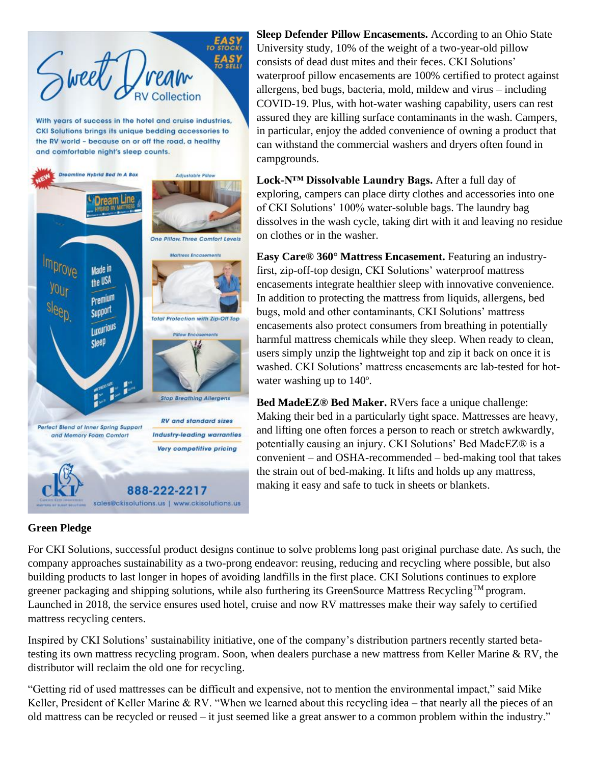

the RV world - because on or off the road, a healthy and comfortable night's sleep counts.



**Sleep Defender Pillow Encasements.** According to an Ohio State University study, 10% of the weight of a two-year-old pillow consists of dead dust mites and their feces. CKI Solutions' waterproof pillow encasements are 100% certified to protect against allergens, bed bugs, bacteria, mold, mildew and virus – including COVID-19. Plus, with hot-water washing capability, users can rest assured they are killing surface contaminants in the wash. Campers, in particular, enjoy the added convenience of owning a product that can withstand the commercial washers and dryers often found in campgrounds.

**Lock-N™ Dissolvable Laundry Bags.** After a full day of exploring, campers can place dirty clothes and accessories into one of CKI Solutions' 100% water-soluble bags. The laundry bag dissolves in the wash cycle, taking dirt with it and leaving no residue on clothes or in the washer.

**Easy Care® 360° Mattress Encasement.** Featuring an industryfirst, zip-off-top design, CKI Solutions' waterproof mattress encasements integrate healthier sleep with innovative convenience. In addition to protecting the mattress from liquids, allergens, bed bugs, mold and other contaminants, CKI Solutions' mattress encasements also protect consumers from breathing in potentially harmful mattress chemicals while they sleep. When ready to clean, users simply unzip the lightweight top and zip it back on once it is washed. CKI Solutions' mattress encasements are lab-tested for hotwater washing up to 140º.

**Bed MadeEZ® Bed Maker.** RVers face a unique challenge: Making their bed in a particularly tight space. Mattresses are heavy, and lifting one often forces a person to reach or stretch awkwardly, potentially causing an injury. CKI Solutions' Bed MadeEZ® is a convenient – and OSHA-recommended – bed-making tool that takes the strain out of bed-making. It lifts and holds up any mattress, making it easy and safe to tuck in sheets or blankets.

## **Green Pledge**

For CKI Solutions, successful product designs continue to solve problems long past original purchase date. As such, the company approaches sustainability as a two-prong endeavor: reusing, reducing and recycling where possible, but also building products to last longer in hopes of avoiding landfills in the first place. CKI Solutions continues to explore greener packaging and shipping solutions, while also furthering its GreenSource Mattress Recycling<sup>TM</sup> program. Launched in 2018, the service ensures used hotel, cruise and now RV mattresses make their way safely to certified mattress recycling centers.

Inspired by CKI Solutions' sustainability initiative, one of the company's distribution partners recently started betatesting its own mattress recycling program. Soon, when dealers purchase a new mattress from Keller Marine & RV, the distributor will reclaim the old one for recycling.

"Getting rid of used mattresses can be difficult and expensive, not to mention the environmental impact," said Mike Keller, President of Keller Marine & RV. "When we learned about this recycling idea – that nearly all the pieces of an old mattress can be recycled or reused – it just seemed like a great answer to a common problem within the industry."